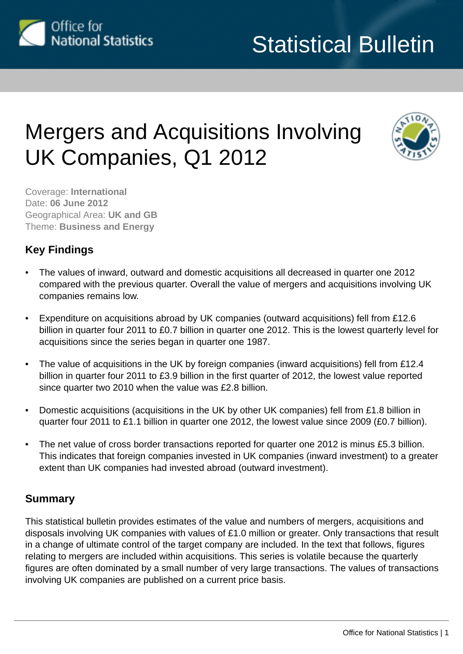

# Mergers and Acquisitions Involving UK Companies, Q1 2012



Coverage: **International** Date: **06 June 2012** Geographical Area: **UK and GB** Theme: **Business and Energy**

## **Key Findings**

- The values of inward, outward and domestic acquisitions all decreased in quarter one 2012 compared with the previous quarter. Overall the value of mergers and acquisitions involving UK companies remains low.
- Expenditure on acquisitions abroad by UK companies (outward acquisitions) fell from £12.6 billion in quarter four 2011 to £0.7 billion in quarter one 2012. This is the lowest quarterly level for acquisitions since the series began in quarter one 1987.
- The value of acquisitions in the UK by foreign companies (inward acquisitions) fell from £12.4 billion in quarter four 2011 to £3.9 billion in the first quarter of 2012, the lowest value reported since quarter two 2010 when the value was £2.8 billion.
- Domestic acquisitions (acquisitions in the UK by other UK companies) fell from £1.8 billion in quarter four 2011 to £1.1 billion in quarter one 2012, the lowest value since 2009 (£0.7 billion).
- The net value of cross border transactions reported for quarter one 2012 is minus £5.3 billion. This indicates that foreign companies invested in UK companies (inward investment) to a greater extent than UK companies had invested abroad (outward investment).

## **Summary**

This statistical bulletin provides estimates of the value and numbers of mergers, acquisitions and disposals involving UK companies with values of £1.0 million or greater. Only transactions that result in a change of ultimate control of the target company are included. In the text that follows, figures relating to mergers are included within acquisitions. This series is volatile because the quarterly figures are often dominated by a small number of very large transactions. The values of transactions involving UK companies are published on a current price basis.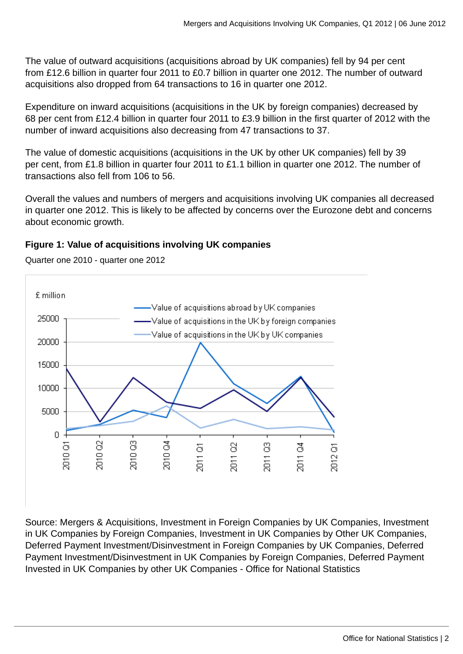The value of outward acquisitions (acquisitions abroad by UK companies) fell by 94 per cent from £12.6 billion in quarter four 2011 to £0.7 billion in quarter one 2012. The number of outward acquisitions also dropped from 64 transactions to 16 in quarter one 2012.

Expenditure on inward acquisitions (acquisitions in the UK by foreign companies) decreased by 68 per cent from £12.4 billion in quarter four 2011 to £3.9 billion in the first quarter of 2012 with the number of inward acquisitions also decreasing from 47 transactions to 37.

The value of domestic acquisitions (acquisitions in the UK by other UK companies) fell by 39 per cent, from £1.8 billion in quarter four 2011 to £1.1 billion in quarter one 2012. The number of transactions also fell from 106 to 56.

Overall the values and numbers of mergers and acquisitions involving UK companies all decreased in quarter one 2012. This is likely to be affected by concerns over the Eurozone debt and concerns about economic growth.

### **Figure 1: Value of acquisitions involving UK companies**

Quarter one 2010 - quarter one 2012



Source: Mergers & Acquisitions, Investment in Foreign Companies by UK Companies, Investment in UK Companies by Foreign Companies, Investment in UK Companies by Other UK Companies, Deferred Payment Investment/Disinvestment in Foreign Companies by UK Companies, Deferred Payment Investment/Disinvestment in UK Companies by Foreign Companies, Deferred Payment Invested in UK Companies by other UK Companies - Office for National Statistics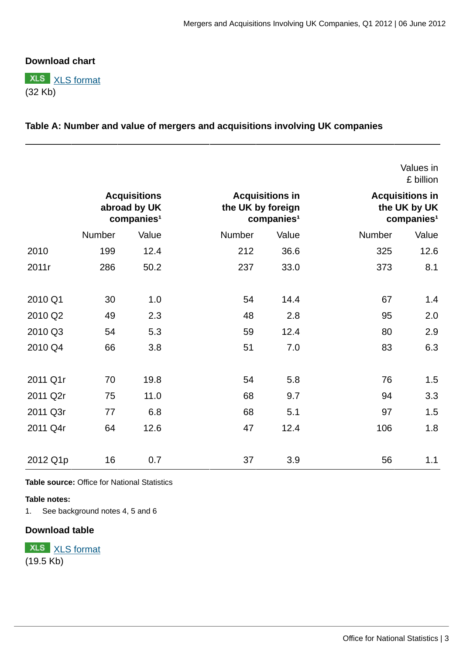#### **Download chart**



**Table A: Number and value of mergers and acquisitions involving UK companies**

|          |                                                               |       |        |                                                                       |        | Values in<br>£ billion                                           |
|----------|---------------------------------------------------------------|-------|--------|-----------------------------------------------------------------------|--------|------------------------------------------------------------------|
|          | <b>Acquisitions</b><br>abroad by UK<br>companies <sup>1</sup> |       |        | <b>Acquisitions in</b><br>the UK by foreign<br>companies <sup>1</sup> |        | <b>Acquisitions in</b><br>the UK by UK<br>companies <sup>1</sup> |
|          | Number                                                        | Value | Number | Value                                                                 | Number | Value                                                            |
| 2010     | 199                                                           | 12.4  | 212    | 36.6                                                                  | 325    | 12.6                                                             |
| 2011r    | 286                                                           | 50.2  | 237    | 33.0                                                                  | 373    | 8.1                                                              |
|          |                                                               |       |        |                                                                       |        |                                                                  |
| 2010 Q1  | 30                                                            | 1.0   | 54     | 14.4                                                                  | 67     | 1.4                                                              |
| 2010 Q2  | 49                                                            | 2.3   | 48     | 2.8                                                                   | 95     | 2.0                                                              |
| 2010 Q3  | 54                                                            | 5.3   | 59     | 12.4                                                                  | 80     | 2.9                                                              |
| 2010 Q4  | 66                                                            | 3.8   | 51     | 7.0                                                                   | 83     | 6.3                                                              |
|          |                                                               |       |        |                                                                       |        |                                                                  |
| 2011 Q1r | 70                                                            | 19.8  | 54     | 5.8                                                                   | 76     | 1.5                                                              |
| 2011 Q2r | 75                                                            | 11.0  | 68     | 9.7                                                                   | 94     | 3.3                                                              |
| 2011 Q3r | 77                                                            | 6.8   | 68     | 5.1                                                                   | 97     | 1.5                                                              |
| 2011 Q4r | 64                                                            | 12.6  | 47     | 12.4                                                                  | 106    | 1.8                                                              |
|          |                                                               |       |        |                                                                       |        |                                                                  |
| 2012 Q1p | 16                                                            | 0.7   | 37     | 3.9                                                                   | 56     | 1.1                                                              |

**Table source:** Office for National Statistics

#### **Table notes:**

1. See background notes 4, 5 and 6

#### **Download table**

**XLS** [XLS format](http://www.ons.gov.uk:80/ons/rel/international-transactions/mergers-and-acquisitions-involving-uk-companies/q1-2012/prt-ma-summary.xls) (19.5 Kb)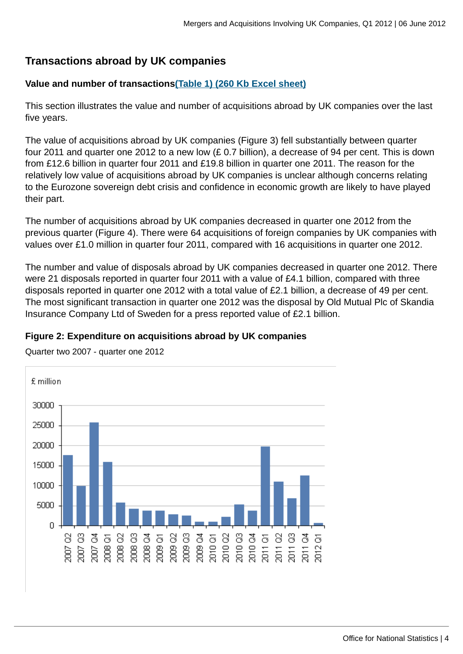## **Transactions abroad by UK companies**

## **Value and number of transactions[\(Table 1\) \(260 Kb Excel sheet\)](http://www.ons.gov.uk:80/ons/rel/international-transactions/mergers-and-acquisitions-involving-uk-companies/q1-2012/rft-tables-01-10.xls)**

This section illustrates the value and number of acquisitions abroad by UK companies over the last five years.

The value of acquisitions abroad by UK companies (Figure 3) fell substantially between quarter four 2011 and quarter one 2012 to a new low (£ 0.7 billion), a decrease of 94 per cent. This is down from £12.6 billion in quarter four 2011 and £19.8 billion in quarter one 2011. The reason for the relatively low value of acquisitions abroad by UK companies is unclear although concerns relating to the Eurozone sovereign debt crisis and confidence in economic growth are likely to have played their part.

The number of acquisitions abroad by UK companies decreased in quarter one 2012 from the previous quarter (Figure 4). There were 64 acquisitions of foreign companies by UK companies with values over £1.0 million in quarter four 2011, compared with 16 acquisitions in quarter one 2012.

The number and value of disposals abroad by UK companies decreased in quarter one 2012. There were 21 disposals reported in quarter four 2011 with a value of £4.1 billion, compared with three disposals reported in quarter one 2012 with a total value of £2.1 billion, a decrease of 49 per cent. The most significant transaction in quarter one 2012 was the disposal by Old Mutual Plc of Skandia Insurance Company Ltd of Sweden for a press reported value of £2.1 billion.

## **Figure 2: Expenditure on acquisitions abroad by UK companies**



Quarter two 2007 - quarter one 2012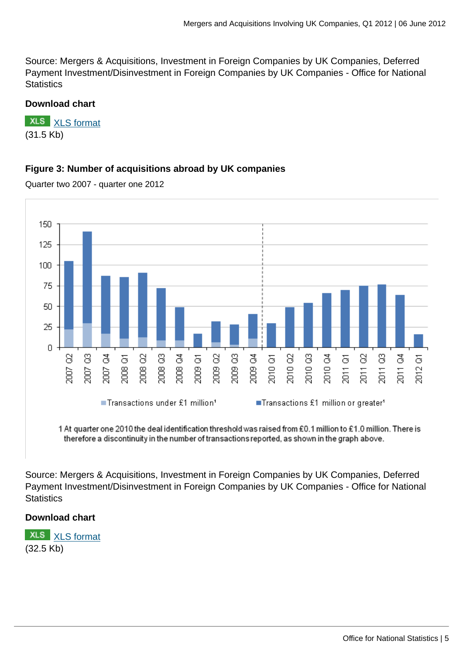Source: Mergers & Acquisitions, Investment in Foreign Companies by UK Companies, Deferred Payment Investment/Disinvestment in Foreign Companies by UK Companies - Office for National **Statistics** 

#### **Download chart**

**XLS** [XLS format](http://www.ons.gov.uk:80/ons/rel/international-transactions/mergers-and-acquisitions-involving-uk-companies/q1-2012/chd-outward-values.xls) (31.5 Kb)

### **Figure 3: Number of acquisitions abroad by UK companies**



Quarter two 2007 - quarter one 2012

1 At quarter one 2010 the deal identification threshold was raised from £0.1 million to £1.0 million. There is therefore a discontinuity in the number of transactions reported, as shown in the graph above.

Source: Mergers & Acquisitions, Investment in Foreign Companies by UK Companies, Deferred Payment Investment/Disinvestment in Foreign Companies by UK Companies - Office for National **Statistics** 

## **Download chart**

**XLS** [XLS format](http://www.ons.gov.uk:80/ons/rel/international-transactions/mergers-and-acquisitions-involving-uk-companies/q1-2012/chd-outward-numbers.xls) (32.5 Kb)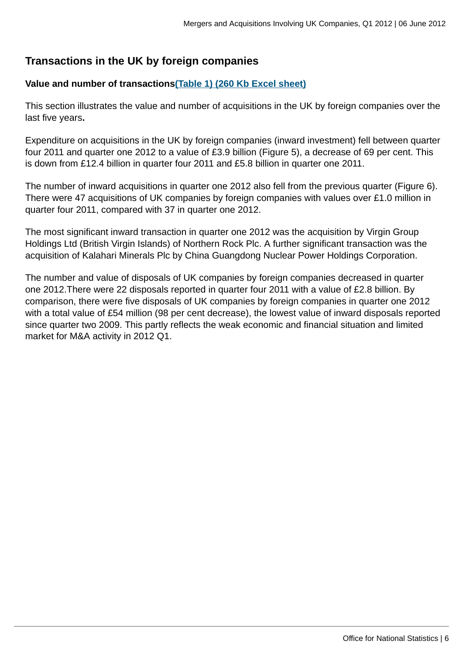## **Transactions in the UK by foreign companies**

## **Value and number of transactions[\(Table 1\) \(260 Kb Excel sheet\)](http://www.ons.gov.uk:80/ons/rel/international-transactions/mergers-and-acquisitions-involving-uk-companies/q1-2012/rft-tables-01-10.xls)**

This section illustrates the value and number of acquisitions in the UK by foreign companies over the last five years**.**

Expenditure on acquisitions in the UK by foreign companies (inward investment) fell between quarter four 2011 and quarter one 2012 to a value of £3.9 billion (Figure 5), a decrease of 69 per cent. This is down from £12.4 billion in quarter four 2011 and £5.8 billion in quarter one 2011.

The number of inward acquisitions in quarter one 2012 also fell from the previous quarter (Figure 6). There were 47 acquisitions of UK companies by foreign companies with values over £1.0 million in quarter four 2011, compared with 37 in quarter one 2012.

The most significant inward transaction in quarter one 2012 was the acquisition by Virgin Group Holdings Ltd (British Virgin Islands) of Northern Rock Plc. A further significant transaction was the acquisition of Kalahari Minerals Plc by China Guangdong Nuclear Power Holdings Corporation.

The number and value of disposals of UK companies by foreign companies decreased in quarter one 2012.There were 22 disposals reported in quarter four 2011 with a value of £2.8 billion. By comparison, there were five disposals of UK companies by foreign companies in quarter one 2012 with a total value of £54 million (98 per cent decrease), the lowest value of inward disposals reported since quarter two 2009. This partly reflects the weak economic and financial situation and limited market for M&A activity in 2012 Q1.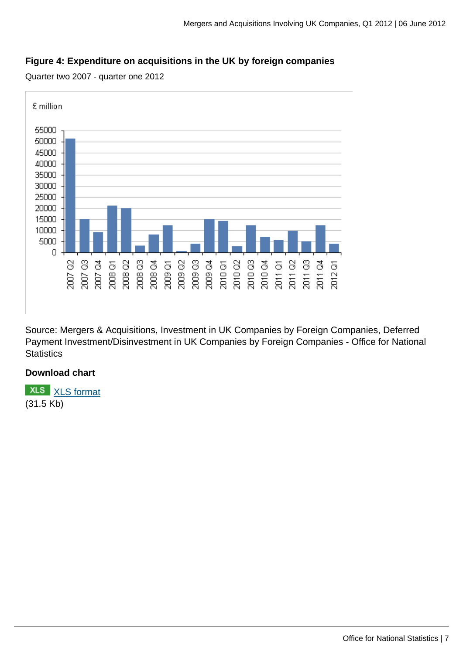## **Figure 4: Expenditure on acquisitions in the UK by foreign companies**

Quarter two 2007 - quarter one 2012



Source: Mergers & Acquisitions, Investment in UK Companies by Foreign Companies, Deferred Payment Investment/Disinvestment in UK Companies by Foreign Companies - Office for National **Statistics** 

#### **Download chart**

**XLS** [XLS format](http://www.ons.gov.uk:80/ons/rel/international-transactions/mergers-and-acquisitions-involving-uk-companies/q1-2012/chd--inward-values.xls) (31.5 Kb)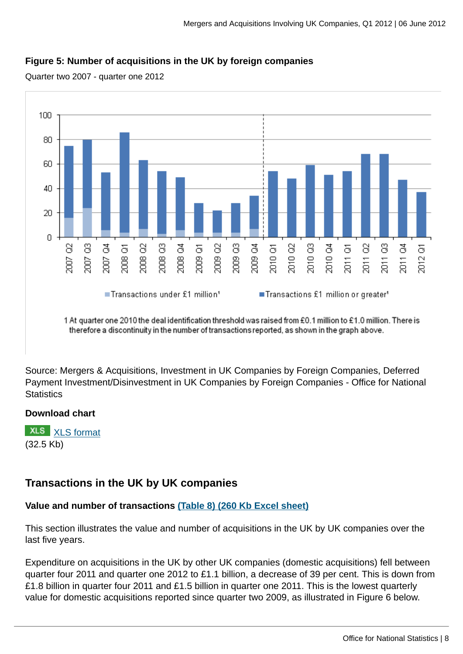## **Figure 5: Number of acquisitions in the UK by foreign companies**

Quarter two 2007 - quarter one 2012



therefore a discontinuity in the number of transactions reported, as shown in the graph above.

Source: Mergers & Acquisitions, Investment in UK Companies by Foreign Companies, Deferred Payment Investment/Disinvestment in UK Companies by Foreign Companies - Office for National **Statistics** 

### **Download chart**

**XLS** [XLS format](http://www.ons.gov.uk:80/ons/rel/international-transactions/mergers-and-acquisitions-involving-uk-companies/q1-2012/chd-inward-numbers.xls) (32.5 Kb)

## **Transactions in the UK by UK companies**

### **Value and number of transactions [\(Table 8\) \(260 Kb Excel sheet\)](http://www.ons.gov.uk:80/ons/rel/international-transactions/mergers-and-acquisitions-involving-uk-companies/q1-2012/rft-tables-01-10.xls)**

This section illustrates the value and number of acquisitions in the UK by UK companies over the last five years.

Expenditure on acquisitions in the UK by other UK companies (domestic acquisitions) fell between quarter four 2011 and quarter one 2012 to £1.1 billion, a decrease of 39 per cent. This is down from £1.8 billion in quarter four 2011 and £1.5 billion in quarter one 2011. This is the lowest quarterly value for domestic acquisitions reported since quarter two 2009, as illustrated in Figure 6 below.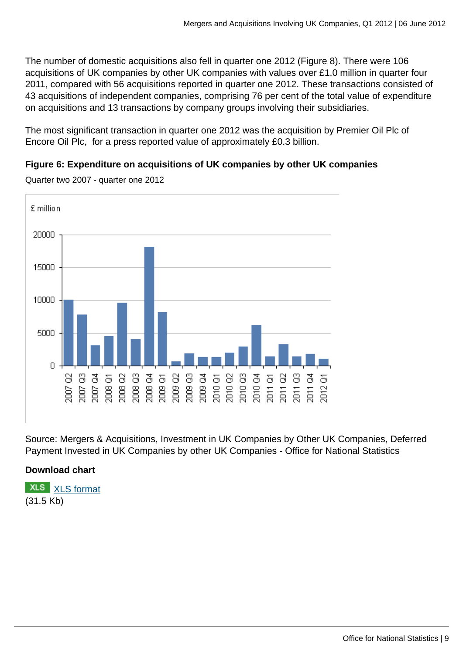The number of domestic acquisitions also fell in quarter one 2012 (Figure 8). There were 106 acquisitions of UK companies by other UK companies with values over £1.0 million in quarter four 2011, compared with 56 acquisitions reported in quarter one 2012. These transactions consisted of 43 acquisitions of independent companies, comprising 76 per cent of the total value of expenditure on acquisitions and 13 transactions by company groups involving their subsidiaries.

The most significant transaction in quarter one 2012 was the acquisition by Premier Oil Plc of Encore Oil Plc, for a press reported value of approximately £0.3 billion.

#### **Figure 6: Expenditure on acquisitions of UK companies by other UK companies**



Quarter two 2007 - quarter one 2012

Source: Mergers & Acquisitions, Investment in UK Companies by Other UK Companies, Deferred Payment Invested in UK Companies by other UK Companies - Office for National Statistics

### **Download chart**

**XLS** [XLS format](http://www.ons.gov.uk:80/ons/rel/international-transactions/mergers-and-acquisitions-involving-uk-companies/q1-2012/chd-domestic-values.xls) (31.5 Kb)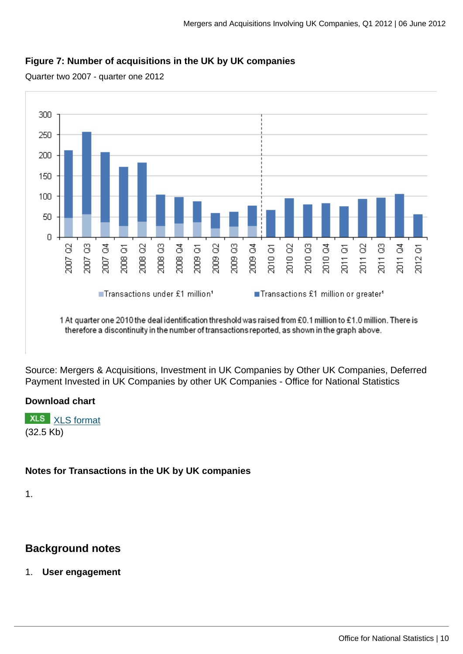## **Figure 7: Number of acquisitions in the UK by UK companies**

Quarter two 2007 - quarter one 2012



1 At quarter one 2010 the deal identification threshold was raised from £0.1 million to £1.0 million. There is therefore a discontinuity in the number of transactions reported, as shown in the graph above.

Source: Mergers & Acquisitions, Investment in UK Companies by Other UK Companies, Deferred Payment Invested in UK Companies by other UK Companies - Office for National Statistics

### **Download chart**

**XLS** [XLS format](http://www.ons.gov.uk:80/ons/rel/international-transactions/mergers-and-acquisitions-involving-uk-companies/q1-2012/chd-domestic-numbers.xls) (32.5 Kb)

## **Notes for Transactions in the UK by UK companies**

1.

## **Background notes**

1. **User engagement**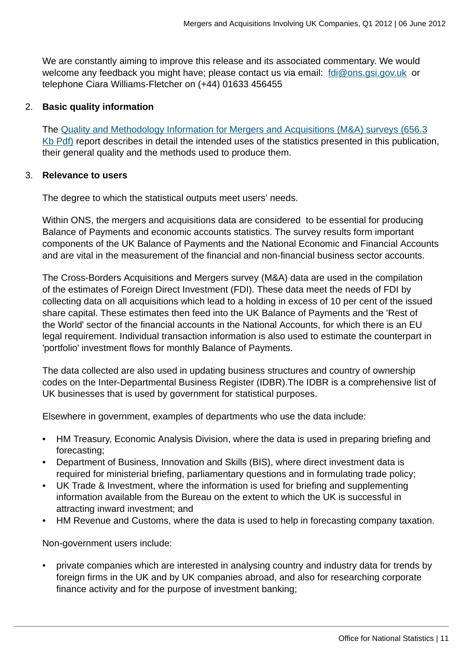We are constantly aiming to improve this release and its associated commentary. We would welcome any feedback you might have; please contact us via email: [fdi@ons.gsi.gov.uk](mailto:fdi@ons.gsi.gov.uk) or telephone Ciara Williams-Fletcher on (+44) 01633 456455

#### 2. **Basic quality information**

The [Quality and Methodology Information for Mergers and Acquisitions \(M&A\) surveys \(656.3](http://www.ons.gov.uk:80/ons/guide-method/method-quality/quality/quality-information/business-and-energy/mergers-and-acquisitions.pdf) [Kb Pdf\)](http://www.ons.gov.uk:80/ons/guide-method/method-quality/quality/quality-information/business-and-energy/mergers-and-acquisitions.pdf) report describes in detail the intended uses of the statistics presented in this publication, their general quality and the methods used to produce them.

#### 3. **Relevance to users**

The degree to which the statistical outputs meet users' needs.

Within ONS, the mergers and acquisitions data are considered to be essential for producing Balance of Payments and economic accounts statistics. The survey results form important components of the UK Balance of Payments and the National Economic and Financial Accounts and are vital in the measurement of the financial and non-financial business sector accounts.

The Cross-Borders Acquisitions and Mergers survey (M&A) data are used in the compilation of the estimates of Foreign Direct Investment (FDI). These data meet the needs of FDI by collecting data on all acquisitions which lead to a holding in excess of 10 per cent of the issued share capital. These estimates then feed into the UK Balance of Payments and the 'Rest of the World' sector of the financial accounts in the National Accounts, for which there is an EU legal requirement. Individual transaction information is also used to estimate the counterpart in 'portfolio' investment flows for monthly Balance of Payments.

The data collected are also used in updating business structures and country of ownership codes on the Inter-Departmental Business Register (IDBR).The IDBR is a comprehensive list of UK businesses that is used by government for statistical purposes.

Elsewhere in government, examples of departments who use the data include:

- HM Treasury, Economic Analysis Division, where the data is used in preparing briefing and forecasting;
- Department of Business, Innovation and Skills (BIS), where direct investment data is required for ministerial briefing, parliamentary questions and in formulating trade policy;
- UK Trade & Investment, where the information is used for briefing and supplementing information available from the Bureau on the extent to which the UK is successful in attracting inward investment; and
- HM Revenue and Customs, where the data is used to help in forecasting company taxation.

Non-government users include:

• private companies which are interested in analysing country and industry data for trends by foreign firms in the UK and by UK companies abroad, and also for researching corporate finance activity and for the purpose of investment banking;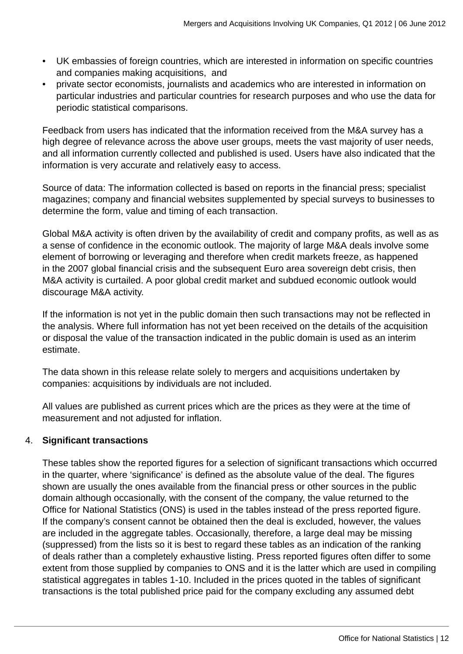- UK embassies of foreign countries, which are interested in information on specific countries and companies making acquisitions, and
- private sector economists, journalists and academics who are interested in information on particular industries and particular countries for research purposes and who use the data for periodic statistical comparisons.

Feedback from users has indicated that the information received from the M&A survey has a high degree of relevance across the above user groups, meets the vast majority of user needs, and all information currently collected and published is used. Users have also indicated that the information is very accurate and relatively easy to access.

Source of data: The information collected is based on reports in the financial press; specialist magazines; company and financial websites supplemented by special surveys to businesses to determine the form, value and timing of each transaction.

Global M&A activity is often driven by the availability of credit and company profits, as well as as a sense of confidence in the economic outlook. The majority of large M&A deals involve some element of borrowing or leveraging and therefore when credit markets freeze, as happened in the 2007 global financial crisis and the subsequent Euro area sovereign debt crisis, then M&A activity is curtailed. A poor global credit market and subdued economic outlook would discourage M&A activity.

If the information is not yet in the public domain then such transactions may not be reflected in the analysis. Where full information has not yet been received on the details of the acquisition or disposal the value of the transaction indicated in the public domain is used as an interim estimate.

The data shown in this release relate solely to mergers and acquisitions undertaken by companies: acquisitions by individuals are not included.

All values are published as current prices which are the prices as they were at the time of measurement and not adjusted for inflation.

### 4. **Significant transactions**

These tables show the reported figures for a selection of significant transactions which occurred in the quarter, where 'significance' is defined as the absolute value of the deal. The figures shown are usually the ones available from the financial press or other sources in the public domain although occasionally, with the consent of the company, the value returned to the Office for National Statistics (ONS) is used in the tables instead of the press reported figure. If the company's consent cannot be obtained then the deal is excluded, however, the values are included in the aggregate tables. Occasionally, therefore, a large deal may be missing (suppressed) from the lists so it is best to regard these tables as an indication of the ranking of deals rather than a completely exhaustive listing. Press reported figures often differ to some extent from those supplied by companies to ONS and it is the latter which are used in compiling statistical aggregates in tables 1-10. Included in the prices quoted in the tables of significant transactions is the total published price paid for the company excluding any assumed debt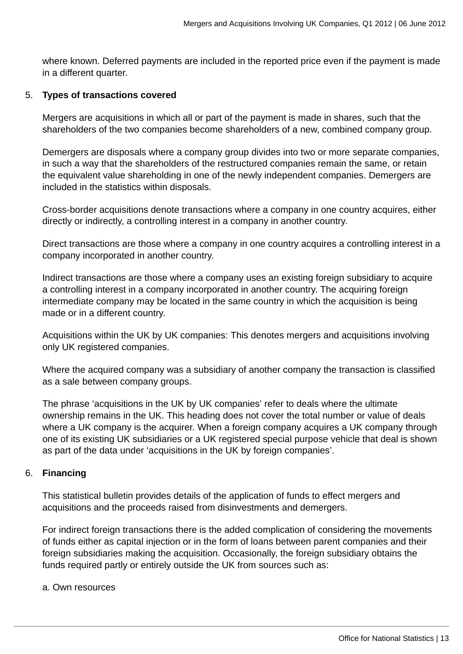where known. Deferred payments are included in the reported price even if the payment is made in a different quarter.

#### 5. **Types of transactions covered**

Mergers are acquisitions in which all or part of the payment is made in shares, such that the shareholders of the two companies become shareholders of a new, combined company group.

Demergers are disposals where a company group divides into two or more separate companies, in such a way that the shareholders of the restructured companies remain the same, or retain the equivalent value shareholding in one of the newly independent companies. Demergers are included in the statistics within disposals.

Cross-border acquisitions denote transactions where a company in one country acquires, either directly or indirectly, a controlling interest in a company in another country.

Direct transactions are those where a company in one country acquires a controlling interest in a company incorporated in another country.

Indirect transactions are those where a company uses an existing foreign subsidiary to acquire a controlling interest in a company incorporated in another country. The acquiring foreign intermediate company may be located in the same country in which the acquisition is being made or in a different country.

Acquisitions within the UK by UK companies: This denotes mergers and acquisitions involving only UK registered companies.

Where the acquired company was a subsidiary of another company the transaction is classified as a sale between company groups.

The phrase 'acquisitions in the UK by UK companies' refer to deals where the ultimate ownership remains in the UK. This heading does not cover the total number or value of deals where a UK company is the acquirer. When a foreign company acquires a UK company through one of its existing UK subsidiaries or a UK registered special purpose vehicle that deal is shown as part of the data under 'acquisitions in the UK by foreign companies'.

#### 6. **Financing**

This statistical bulletin provides details of the application of funds to effect mergers and acquisitions and the proceeds raised from disinvestments and demergers.

For indirect foreign transactions there is the added complication of considering the movements of funds either as capital injection or in the form of loans between parent companies and their foreign subsidiaries making the acquisition. Occasionally, the foreign subsidiary obtains the funds required partly or entirely outside the UK from sources such as:

#### a. Own resources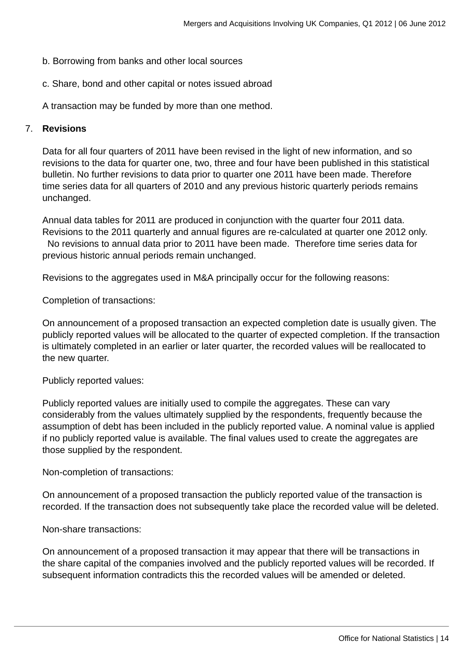- b. Borrowing from banks and other local sources
- c. Share, bond and other capital or notes issued abroad

A transaction may be funded by more than one method.

#### 7. **Revisions**

Data for all four quarters of 2011 have been revised in the light of new information, and so revisions to the data for quarter one, two, three and four have been published in this statistical bulletin. No further revisions to data prior to quarter one 2011 have been made. Therefore time series data for all quarters of 2010 and any previous historic quarterly periods remains unchanged.

Annual data tables for 2011 are produced in conjunction with the quarter four 2011 data. Revisions to the 2011 quarterly and annual figures are re-calculated at quarter one 2012 only. No revisions to annual data prior to 2011 have been made. Therefore time series data for previous historic annual periods remain unchanged.

Revisions to the aggregates used in M&A principally occur for the following reasons:

Completion of transactions:

On announcement of a proposed transaction an expected completion date is usually given. The publicly reported values will be allocated to the quarter of expected completion. If the transaction is ultimately completed in an earlier or later quarter, the recorded values will be reallocated to the new quarter.

Publicly reported values:

Publicly reported values are initially used to compile the aggregates. These can vary considerably from the values ultimately supplied by the respondents, frequently because the assumption of debt has been included in the publicly reported value. A nominal value is applied if no publicly reported value is available. The final values used to create the aggregates are those supplied by the respondent.

Non-completion of transactions:

On announcement of a proposed transaction the publicly reported value of the transaction is recorded. If the transaction does not subsequently take place the recorded value will be deleted.

Non-share transactions:

On announcement of a proposed transaction it may appear that there will be transactions in the share capital of the companies involved and the publicly reported values will be recorded. If subsequent information contradicts this the recorded values will be amended or deleted.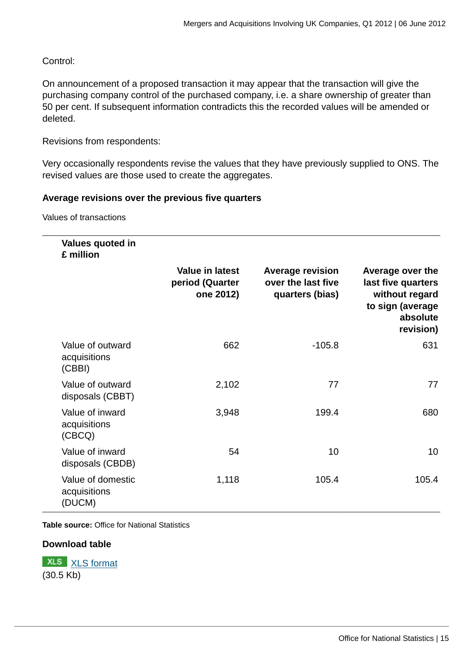#### Control:

On announcement of a proposed transaction it may appear that the transaction will give the purchasing company control of the purchased company, i.e. a share ownership of greater than 50 per cent. If subsequent information contradicts this the recorded values will be amended or deleted.

Revisions from respondents:

Very occasionally respondents revise the values that they have previously supplied to ONS. The revised values are those used to create the aggregates.

#### **Average revisions over the previous five quarters**

Values of transactions

| Values quoted in<br>£ million               |                                                        |                                                                  |                                                                                                       |
|---------------------------------------------|--------------------------------------------------------|------------------------------------------------------------------|-------------------------------------------------------------------------------------------------------|
|                                             | <b>Value in latest</b><br>period (Quarter<br>one 2012) | <b>Average revision</b><br>over the last five<br>quarters (bias) | Average over the<br>last five quarters<br>without regard<br>to sign (average<br>absolute<br>revision) |
| Value of outward<br>acquisitions<br>(CBBI)  | 662                                                    | $-105.8$                                                         | 631                                                                                                   |
| Value of outward<br>disposals (CBBT)        | 2,102                                                  | 77                                                               | 77                                                                                                    |
| Value of inward<br>acquisitions<br>(CBCQ)   | 3,948                                                  | 199.4                                                            | 680                                                                                                   |
| Value of inward<br>disposals (CBDB)         | 54                                                     | 10                                                               | 10                                                                                                    |
| Value of domestic<br>acquisitions<br>(DUCM) | 1,118                                                  | 105.4                                                            | 105.4                                                                                                 |

**Table source:** Office for National Statistics

#### **Download table**

**XLS** [XLS format](http://www.ons.gov.uk:80/ons/rel/international-transactions/mergers-and-acquisitions-involving-uk-companies/q1-2012/prt-revisions-values.xls) (30.5 Kb)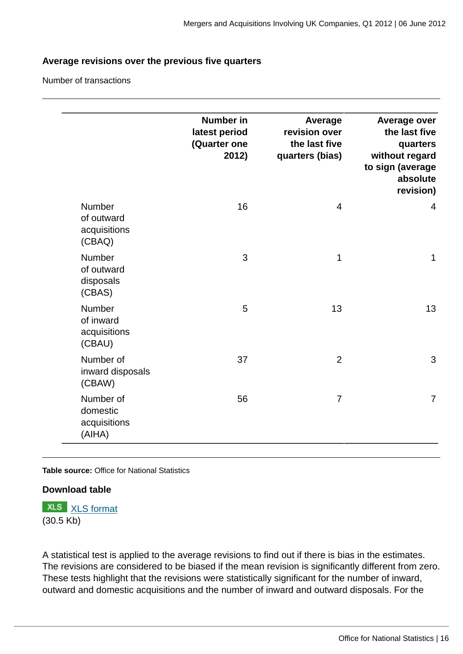#### **Average revisions over the previous five quarters**

Number of transactions

|                                                 | <b>Number in</b><br>latest period<br>(Quarter one<br>2012) | Average<br>revision over<br>the last five<br>quarters (bias) | <b>Average over</b><br>the last five<br>quarters<br>without regard<br>to sign (average<br>absolute<br>revision) |
|-------------------------------------------------|------------------------------------------------------------|--------------------------------------------------------------|-----------------------------------------------------------------------------------------------------------------|
| Number<br>of outward<br>acquisitions<br>(CBAQ)  | 16                                                         | $\overline{4}$                                               | $\overline{4}$                                                                                                  |
| Number<br>of outward<br>disposals<br>(CBAS)     | 3                                                          | $\mathbf{1}$                                                 | $\mathbf{1}$                                                                                                    |
| Number<br>of inward<br>acquisitions<br>(CBAU)   | 5                                                          | 13                                                           | 13                                                                                                              |
| Number of<br>inward disposals<br>(CBAW)         | 37                                                         | $\overline{2}$                                               | 3                                                                                                               |
| Number of<br>domestic<br>acquisitions<br>(AIHA) | 56                                                         | $\overline{7}$                                               | $\overline{7}$                                                                                                  |

**Table source:** Office for National Statistics

#### **Download table**

**XLS** [XLS format](http://www.ons.gov.uk:80/ons/rel/international-transactions/mergers-and-acquisitions-involving-uk-companies/q1-2012/prt-revisions-numbers.xls) (30.5 Kb)

A statistical test is applied to the average revisions to find out if there is bias in the estimates. The revisions are considered to be biased if the mean revision is significantly different from zero. These tests highlight that the revisions were statistically significant for the number of inward, outward and domestic acquisitions and the number of inward and outward disposals. For the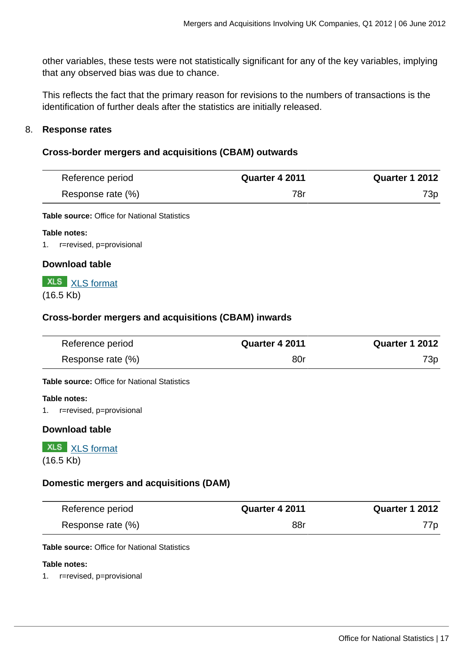other variables, these tests were not statistically significant for any of the key variables, implying that any observed bias was due to chance.

This reflects the fact that the primary reason for revisions to the numbers of transactions is the identification of further deals after the statistics are initially released.

#### 8. **Response rates**

#### **Cross-border mergers and acquisitions (CBAM) outwards**

| Reference period  | <b>Quarter 4 2011</b> | Quarter 1 2012 |
|-------------------|-----------------------|----------------|
| Response rate (%) | 78r                   | 73p            |

**Table source:** Office for National Statistics

#### **Table notes:**

1. r=revised, p=provisional

#### **Download table**

# **XLS** [XLS format](http://www.ons.gov.uk:80/ons/rel/international-transactions/mergers-and-acquisitions-involving-uk-companies/q1-2012/prt-outward-response.xls)

(16.5 Kb)

#### **Cross-border mergers and acquisitions (CBAM) inwards**

| Reference period  | <b>Quarter 4 2011</b> | Quarter 1 2012 |
|-------------------|-----------------------|----------------|
| Response rate (%) | 80r                   | 73p            |
|                   |                       |                |

**Table source:** Office for National Statistics

#### **Table notes:**

1. r=revised, p=provisional

#### **Download table**

**XLS** [XLS format](http://www.ons.gov.uk:80/ons/rel/international-transactions/mergers-and-acquisitions-involving-uk-companies/q1-2012/prt-inward-response.xls) (16.5 Kb)

#### **Domestic mergers and acquisitions (DAM)**

| Reference period  | <b>Quarter 4 2011</b> | Quarter 1 2012 |
|-------------------|-----------------------|----------------|
| Response rate (%) | 88r                   | 77p            |

**Table source:** Office for National Statistics

#### **Table notes:**

1. r=revised, p=provisional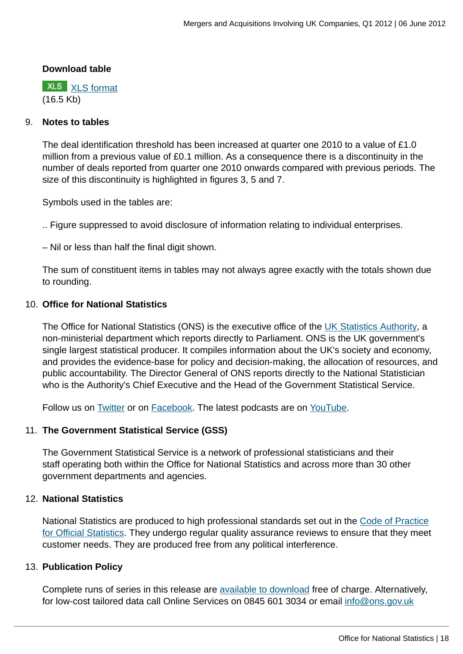#### **Download table**

**XLS** [XLS format](http://www.ons.gov.uk:80/ons/rel/international-transactions/mergers-and-acquisitions-involving-uk-companies/q1-2012/prt-domestic-response.xls) (16.5 Kb)

#### 9. **Notes to tables**

The deal identification threshold has been increased at quarter one 2010 to a value of £1.0 million from a previous value of £0.1 million. As a consequence there is a discontinuity in the number of deals reported from quarter one 2010 onwards compared with previous periods. The size of this discontinuity is highlighted in figures 3, 5 and 7.

Symbols used in the tables are:

.. Figure suppressed to avoid disclosure of information relating to individual enterprises.

– Nil or less than half the final digit shown.

The sum of constituent items in tables may not always agree exactly with the totals shown due to rounding.

#### 10. **Office for National Statistics**

The Office for National Statistics (ONS) is the executive office of the [UK Statistics Authority,](http://www.ons.gov.uk:80/ons/external-links/stats-authority/statistics-authority-s-website.html) a non-ministerial department which reports directly to Parliament. ONS is the UK government's single largest statistical producer. It compiles information about the UK's society and economy, and provides the evidence-base for policy and decision-making, the allocation of resources, and public accountability. The Director General of ONS reports directly to the National Statistician who is the Authority's Chief Executive and the Head of the Government Statistical Service.

Follow us on **Twitter** or on **Facebook**. The latest podcasts are on **YouTube**.

#### 11. **The Government Statistical Service (GSS)**

The Government Statistical Service is a network of professional statisticians and their staff operating both within the Office for National Statistics and across more than 30 other government departments and agencies.

#### 12. **National Statistics**

National Statistics are produced to high professional standards set out in the [Code of Practice](http://www.ons.gov.uk:80/ons/guide-method/the-national-statistics-standard/code-of-practice/index.html) [for Official Statistics](http://www.ons.gov.uk:80/ons/guide-method/the-national-statistics-standard/code-of-practice/index.html). They undergo regular quality assurance reviews to ensure that they meet customer needs. They are produced free from any political interference.

#### 13. **Publication Policy**

Complete runs of series in this release are [available to download](http://www.ons.gov.uk:80/ons/rel/international-transactions/mergers-and-acquisitions-involving-uk-companies/q1-2012/dd-am-dataset.html) free of charge. Alternatively, for low-cost tailored data call Online Services on 0845 601 3034 or email [info@ons.gov.uk](mailto:info@ons.gov.uk)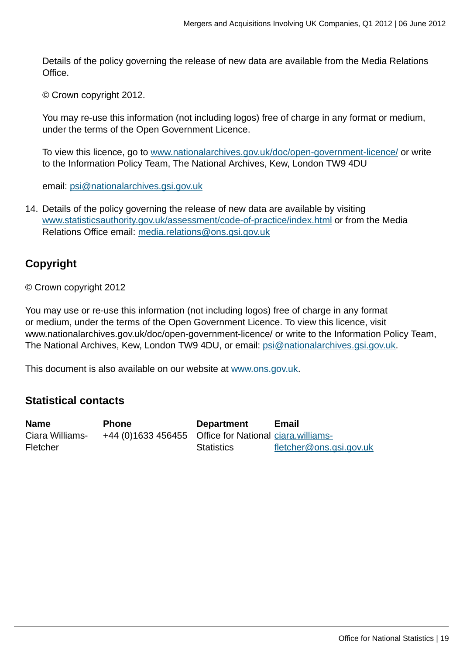Details of the policy governing the release of new data are available from the Media Relations Office.

© Crown copyright 2012.

You may re-use this information (not including logos) free of charge in any format or medium, under the terms of the Open Government Licence.

To view this licence, go to [www.nationalarchives.gov.uk/doc/open-government-licence/](http://www.nationalarchives.gov.uk/doc/open-government-licence/) or write to the Information Policy Team, The National Archives, Kew, London TW9 4DU

email: [psi@nationalarchives.gsi.gov.uk](mailto:psi@nationalarchives.gsi.gov.uk)

14. Details of the policy governing the release of new data are available by visiting [www.statisticsauthority.gov.uk/assessment/code-of-practice/index.html](http://www.statisticsauthority.gov.uk/assessment/code-of-practice/index.html) or from the Media Relations Office email: [media.relations@ons.gsi.gov.uk](mailto:media.relations@ons.gsi.gov.uk)

## **Copyright**

© Crown copyright 2012

You may use or re-use this information (not including logos) free of charge in any format or medium, under the terms of the Open Government Licence. To view this licence, visit www.nationalarchives.gov.uk/doc/open-government-licence/ or write to the Information Policy Team, The National Archives, Kew, London TW9 4DU, or email: [psi@nationalarchives.gsi.gov.uk](mailto:psi@nationalarchives.gsi.gov.uk).

This document is also available on our website at [www.ons.gov.uk.](http://www.ons.gov.uk/)

## **Statistical contacts**

**Name Phone Department Email** Ciara Williams-Fletcher +44 (0)1633 456455 Office for National [ciara.williams-](mailto:ciara.williams-fletcher@ons.gsi.gov.uk)**Statistics** [fletcher@ons.gsi.gov.uk](mailto:ciara.williams-fletcher@ons.gsi.gov.uk)